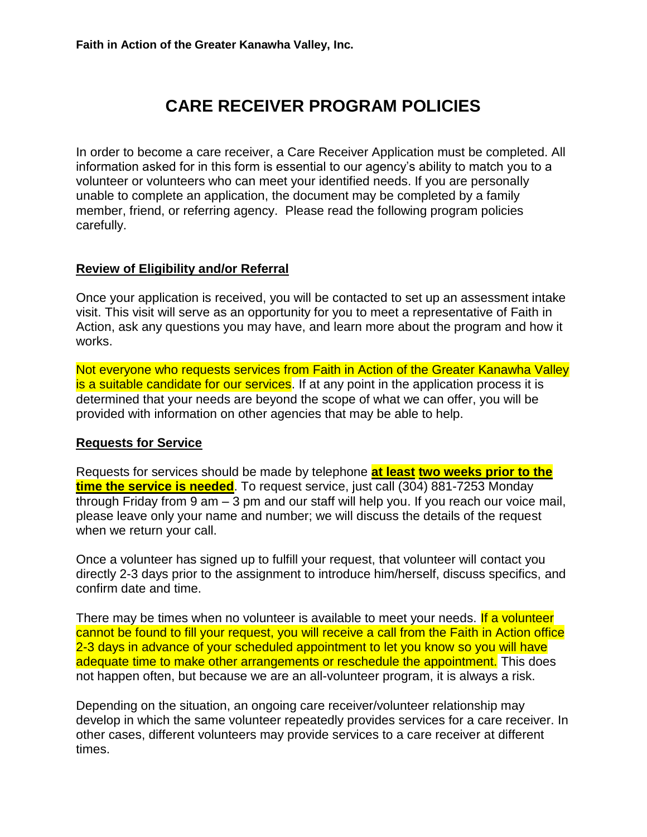# **CARE RECEIVER PROGRAM POLICIES**

In order to become a care receiver, a Care Receiver Application must be completed. All information asked for in this form is essential to our agency's ability to match you to a volunteer or volunteers who can meet your identified needs. If you are personally unable to complete an application, the document may be completed by a family member, friend, or referring agency. Please read the following program policies carefully.

# **Review of Eligibility and/or Referral**

Once your application is received, you will be contacted to set up an assessment intake visit. This visit will serve as an opportunity for you to meet a representative of Faith in Action, ask any questions you may have, and learn more about the program and how it works.

Not everyone who requests services from Faith in Action of the Greater Kanawha Valley is a suitable candidate for our services. If at any point in the application process it is determined that your needs are beyond the scope of what we can offer, you will be provided with information on other agencies that may be able to help.

# **Requests for Service**

Requests for services should be made by telephone **at least two weeks prior to the time the service is needed**. To request service, just call (304) 881-7253 Monday through Friday from 9 am – 3 pm and our staff will help you. If you reach our voice mail, please leave only your name and number; we will discuss the details of the request when we return your call.

Once a volunteer has signed up to fulfill your request, that volunteer will contact you directly 2-3 days prior to the assignment to introduce him/herself, discuss specifics, and confirm date and time.

There may be times when no volunteer is available to meet your needs. If a volunteer cannot be found to fill your request, you will receive a call from the Faith in Action office 2-3 days in advance of your scheduled appointment to let you know so you will have adequate time to make other arrangements or reschedule the appointment. This does not happen often, but because we are an all-volunteer program, it is always a risk.

Depending on the situation, an ongoing care receiver/volunteer relationship may develop in which the same volunteer repeatedly provides services for a care receiver. In other cases, different volunteers may provide services to a care receiver at different times.